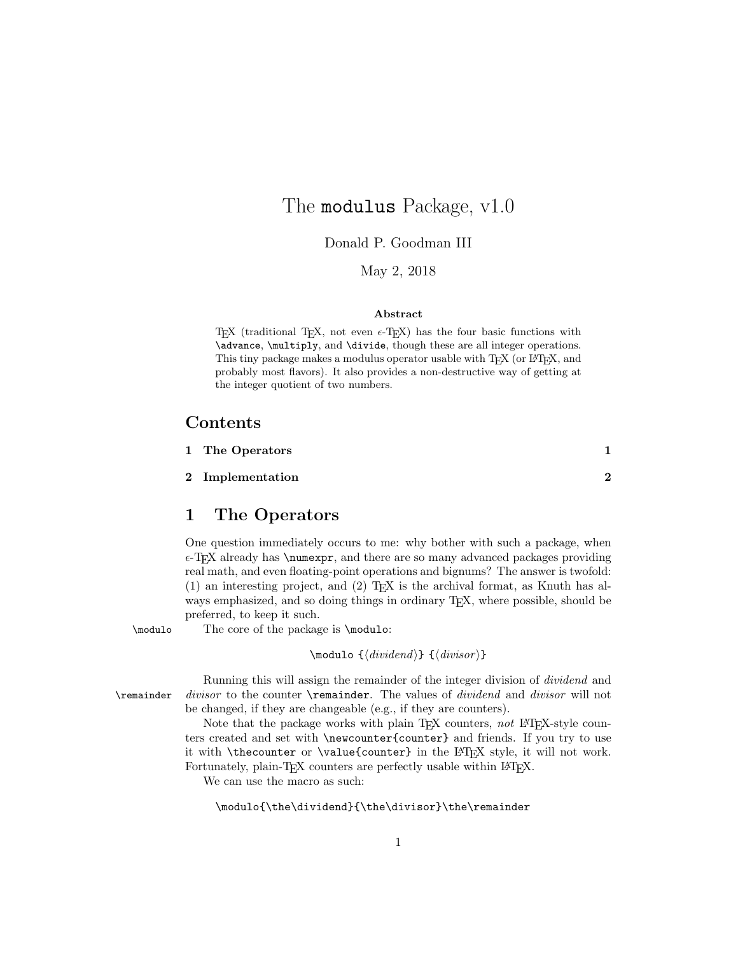# The **modulus** Package, v1.0

Donald P. Goodman III

May 2, 2018

#### Abstract

T<sub>E</sub>X (traditional T<sub>E</sub>X, not even  $\epsilon$ -T<sub>E</sub>X) has the four basic functions with \advance, \multiply, and \divide, though these are all integer operations. This tiny package makes a modulus operator usable with T<sub>E</sub>X (or L<sup>AT</sup>EX, and probably most flavors). It also provides a non-destructive way of getting at the integer quotient of two numbers.

### Contents

| 1 The Operators  |  |
|------------------|--|
| 2 Implementation |  |

## 1 The Operators

One question immediately occurs to me: why bother with such a package, when  $\epsilon$ -T<sub>E</sub>X already has \numexpr, and there are so many advanced packages providing real math, and even floating-point operations and bignums? The answer is twofold:  $(1)$  an interesting project, and  $(2)$  T<sub>E</sub>X is the archival format, as Knuth has always emphasized, and so doing things in ordinary T<sub>E</sub>X, where possible, should be preferred, to keep it such.

\modulo The core of the package is \modulo:

 $\mod$ 10  ${\div}$   ${\div}$   ${\div}$ 

Running this will assign the remainder of the integer division of dividend and \remainder divisor to the counter \remainder. The values of dividend and divisor will not be changed, if they are changeable (e.g., if they are counters).

> Note that the package works with plain T<sub>EX</sub> counters, not L<sup>AT</sup>EX-style counters created and set with \newcounter{counter} and friends. If you try to use it with \thecounter or \value{counter} in the L<sup>AT</sup>EX style, it will not work. Fortunately, plain-TEX counters are perfectly usable within L<sup>AT</sup>EX.

We can use the macro as such:

\modulo{\the\dividend}{\the\divisor}\the\remainder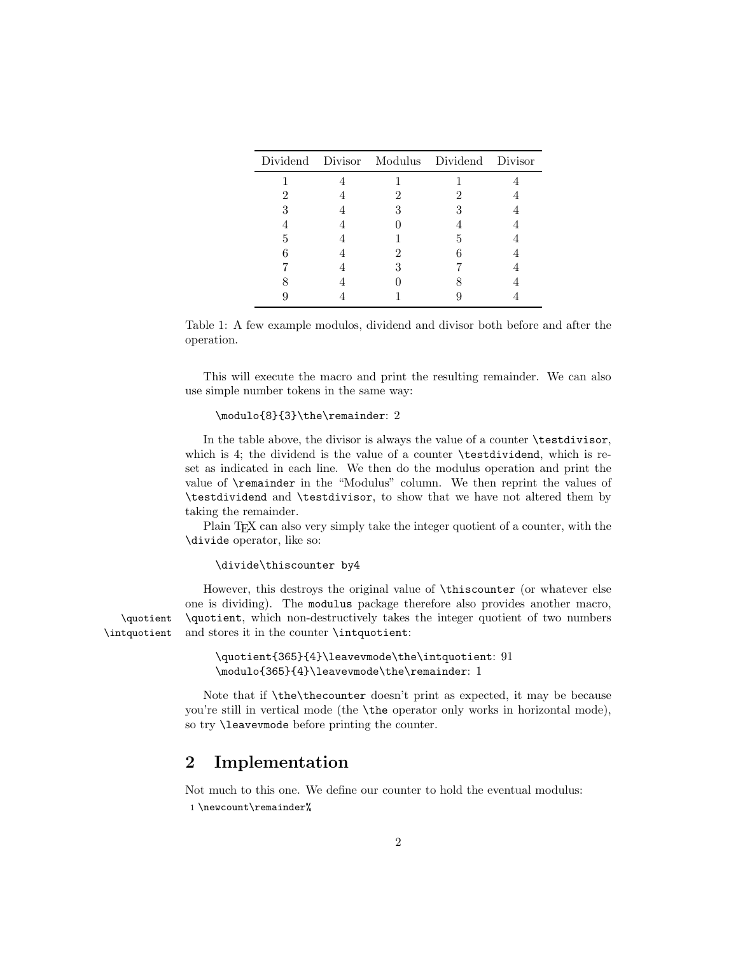|   |  | Dividend Divisor Modulus Dividend Divisor |  |
|---|--|-------------------------------------------|--|
|   |  |                                           |  |
|   |  |                                           |  |
|   |  |                                           |  |
|   |  |                                           |  |
| 5 |  | h                                         |  |
|   |  |                                           |  |
|   |  |                                           |  |
|   |  |                                           |  |
|   |  |                                           |  |

Table 1: A few example modulos, dividend and divisor both before and after the operation.

This will execute the macro and print the resulting remainder. We can also use simple number tokens in the same way:

### \modulo{8}{3}\the\remainder: 2

In the table above, the divisor is always the value of a counter \testdivisor, which is 4; the dividend is the value of a counter **\testdividend**, which is reset as indicated in each line. We then do the modulus operation and print the value of \remainder in the "Modulus" column. We then reprint the values of \testdividend and \testdivisor, to show that we have not altered them by taking the remainder.

Plain T<sub>E</sub>X can also very simply take the integer quotient of a counter, with the \divide operator, like so:

#### \divide\thiscounter by4

However, this destroys the original value of \thiscounter (or whatever else one is dividing). The modulus package therefore also provides another macro, \quotient \quotient, which non-destructively takes the integer quotient of two numbers \intquotient and stores it in the counter \intquotient:

```
\quotient{365}{4}\leavevmode\the\intquotient: 91
\modulo{365}{4}\leavevmode\the\remainder: 1
```
Note that if \the\thecounter doesn't print as expected, it may be because you're still in vertical mode (the \the operator only works in horizontal mode), so try \leavevmode before printing the counter.

### 2 Implementation

Not much to this one. We define our counter to hold the eventual modulus: 1 \newcount\remainder%